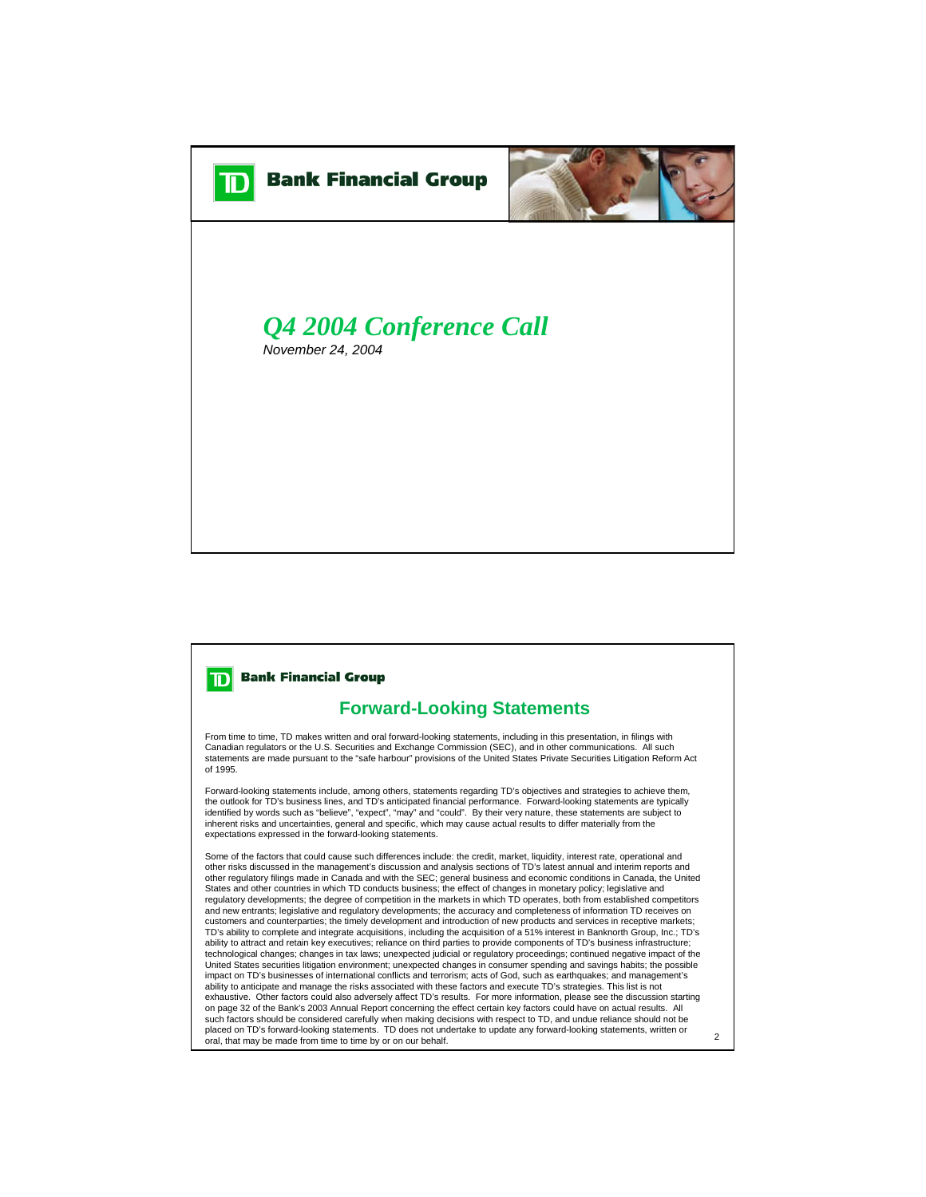

## **TD** Bank Financial Group

## **Forward-Looking Statements**

From time to time, TD makes written and oral forward-looking statements, including in this presentation, in filings with<br>Canadian regulators or the U.S. Securities and Exchange Commission (SEC), and in other communications statements are made pursuant to the "safe harbour" provisions of the United States Private Securities Litigation Reform Act of 1995.

Forward-looking statements include, among others, statements regarding TD's objectives and strategies to achieve them, the outlook for TD's business lines, and TD's anticipated financial performance. Forward-looking statements are typically identified by words such as "believe", "expect", "may" and "could". By their very nature, these statements are subject to<br>inherent risks and uncertainties, general and specific, which may cause actual results to differ mat expectations expressed in the forward-looking statements.

Some of the factors that could cause such differences include: the credit, market, liquidity, interest rate, operational and other risks discussed in the management's discussion and analysis sections of TD's latest annual and interim reports and other regulatory filings made in Canada and with the SEC; general business and economic conditions in Canada, the United States and other countries in which TD conducts business; the effect of changes in monetary policy; legislative and regulatory developments; the degree of competition in the markets in which TD operates, both from established competitors and new entrants; legislative and regulatory developments; the accuracy and completeness of information TD receives on customers and counterparties; the timely development and introduction of new products and services in receptive markets; TD's ability to complete and integrate acquisitions, including the acquisition of a 51% interest in Banknorth Group, Inc.; TD's ability to attract and retain key executives; reliance on third parties to provide components of TD's business infrastructure; technological changes; changes in tax laws; unexpected judicial or regulatory proceedings; continued negative impact of the United States securities litigation environment; unexpected changes in consumer spending and savings habits; the possible impact on TD's businesses of international conflicts and terrorism; acts of God, such as earthquakes; and management's<br>ability to anticipate and manage the risks associated with these factors and execute TD's strategies. T exhaustive. Other factors could also adversely affect TD's results. For more information, please see the discussion starting on page 32 of the Bank's 2003 Annual Report concerning the effect certain key factors could have on actual results. All such factors should be considered carefully when making decisions with respect to TD, and undue reliance should not be<br>placed on TD's forward-looking statements. TD does not undertake to update any forward-looking stateme oral, that may be made from time to time by or on our behalf.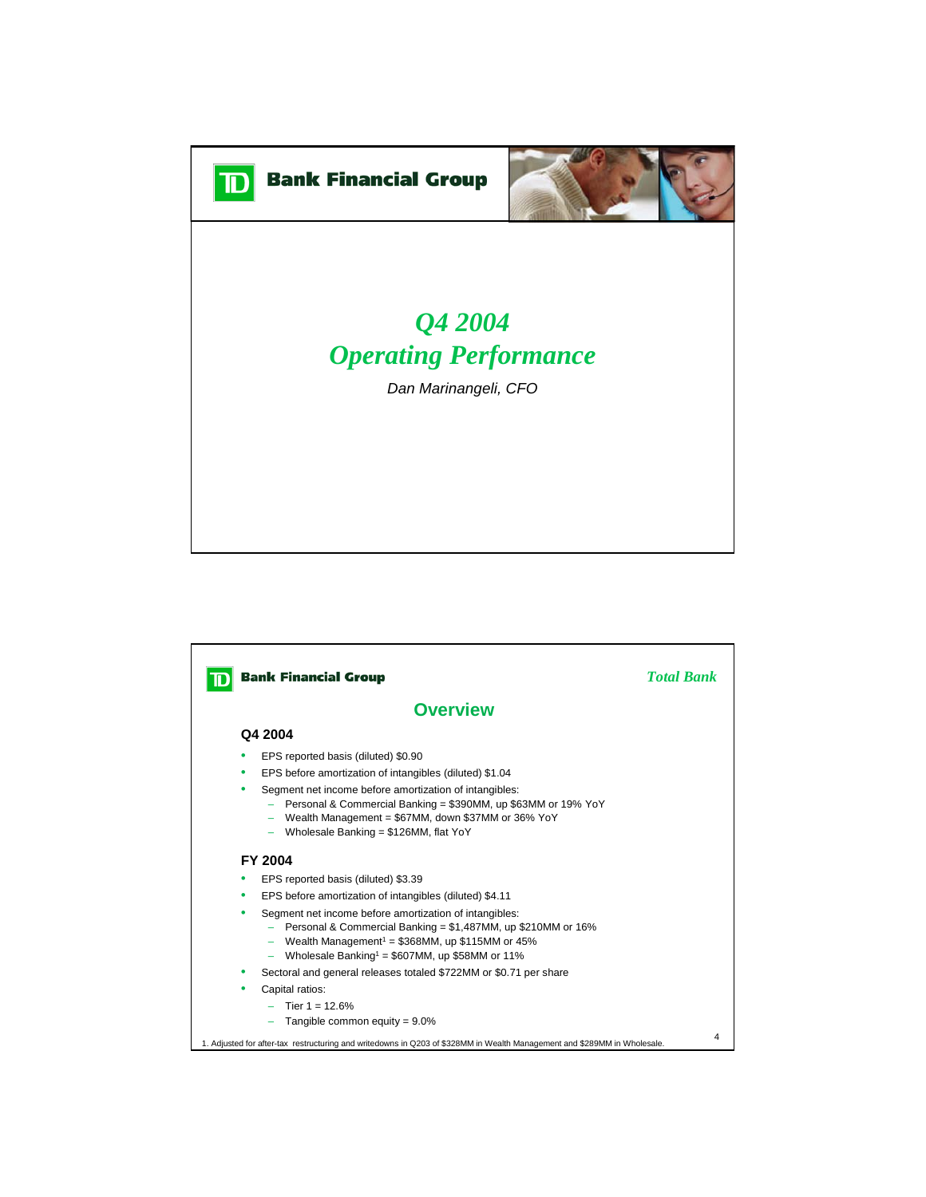



## *Q4 2004 Operating Performance*

*Dan Marinangeli, CFO*

## **D** Bank Financial Group *Total Bank* **Overview Q4 2004** • EPS reported basis (diluted) \$0.90 • EPS before amortization of intangibles (diluted) \$1.04 • Segment net income before amortization of intangibles: – Personal & Commercial Banking = \$390MM, up \$63MM or 19% YoY – Wealth Management = \$67MM, down \$37MM or 36% YoY – Wholesale Banking = \$126MM, flat YoY **FY 2004** • EPS reported basis (diluted) \$3.39 • EPS before amortization of intangibles (diluted) \$4.11 • Segment net income before amortization of intangibles: – Personal & Commercial Banking = \$1,487MM, up \$210MM or 16% Wealth Management<sup>1</sup> =  $$368MM$ , up  $$115MM$  or  $45%$  $-$  Wholesale Banking<sup>1</sup> = \$607MM, up \$58MM or 11% • Sectoral and general releases totaled \$722MM or \$0.71 per share Capital ratios:  $-$  Tier 1 = 12.6%  $-$  Tangible common equity =  $9.0\%$ 4 1. Adjusted for after-tax restructuring and writedowns in Q203 of \$328MM in Wealth Management and \$289MM in Wholesale.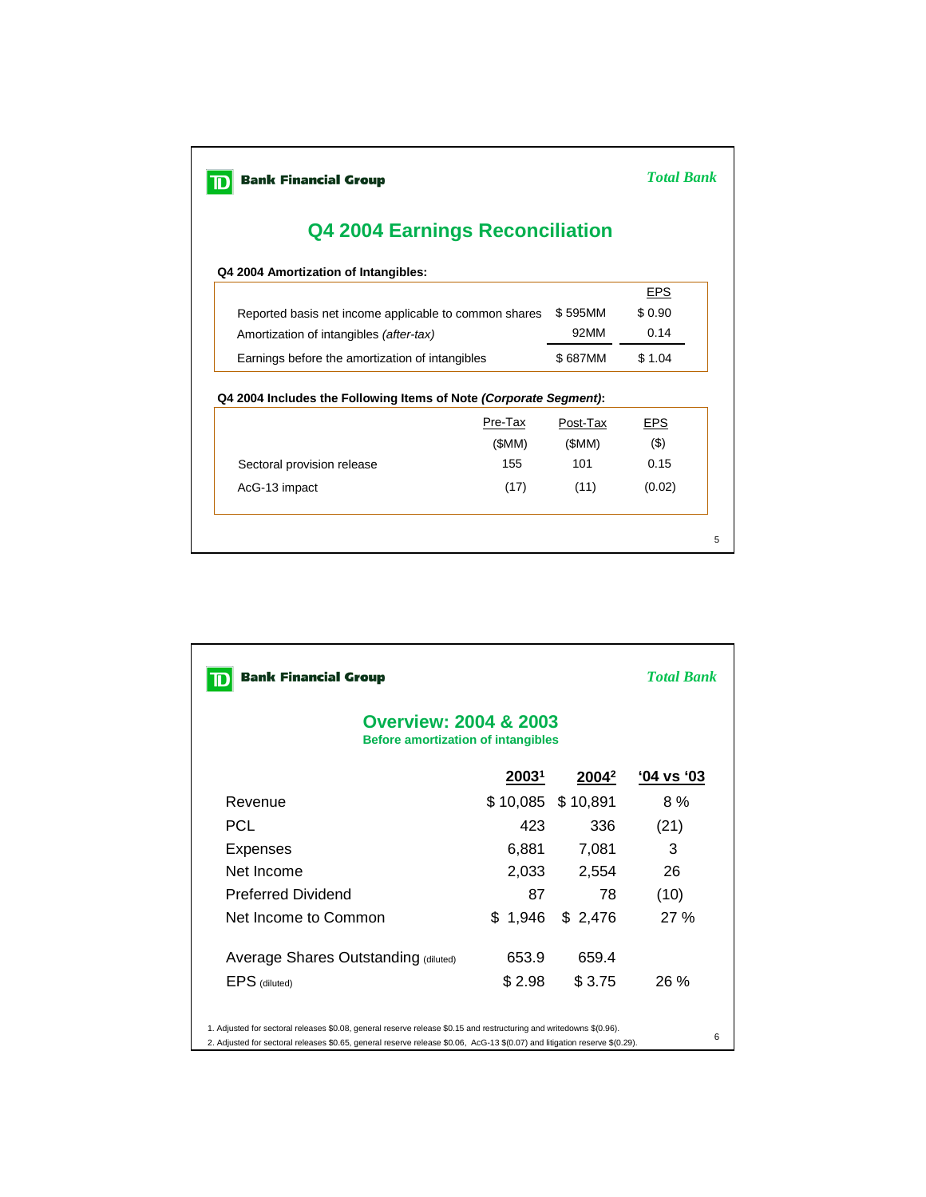| <b>Bank Financial Group</b>                                       | <b>Total Bank</b> |          |            |  |
|-------------------------------------------------------------------|-------------------|----------|------------|--|
| <b>Q4 2004 Earnings Reconciliation</b>                            |                   |          |            |  |
| Q4 2004 Amortization of Intangibles:                              |                   |          |            |  |
|                                                                   |                   |          | <b>EPS</b> |  |
| Reported basis net income applicable to common shares             | \$595MM           | \$0.90   |            |  |
| Amortization of intangibles (after-tax)                           | 92MM              | 0.14     |            |  |
| Earnings before the amortization of intangibles                   |                   | \$687MM  | \$1.04     |  |
| Q4 2004 Includes the Following Items of Note (Corporate Segment): |                   |          |            |  |
|                                                                   | Pre-Tax           | Post-Tax | <b>EPS</b> |  |
|                                                                   | (SMM)             | (SMM)    | $($ \$)    |  |
| Sectoral provision release                                        | 155               | 101      | 0.15       |  |
| AcG-13 impact                                                     | (17)              | (11)     | (0.02)     |  |
|                                                                   |                   |          |            |  |

| <b>Bank Financial Group</b>                                                   | <b>Total Bank</b> |                          |                   |  |  |  |
|-------------------------------------------------------------------------------|-------------------|--------------------------|-------------------|--|--|--|
| <b>Overview: 2004 &amp; 2003</b><br><b>Before amortization of intangibles</b> |                   |                          |                   |  |  |  |
|                                                                               | 2003 <sup>1</sup> | <u> 2004<sup>2</sup></u> | <u>'04 vs '03</u> |  |  |  |
| Revenue                                                                       | \$10,085          | \$10,891                 | 8 %               |  |  |  |
| <b>PCL</b>                                                                    | 423               | 336                      | (21)              |  |  |  |
| Expenses                                                                      | 6,881             | 7,081                    | 3                 |  |  |  |
| Net Income                                                                    | 2,033             | 2,554                    | 26                |  |  |  |
| <b>Preferred Dividend</b>                                                     | 87                | 78                       | (10)              |  |  |  |
| Net Income to Common                                                          | \$1,946           | \$2,476                  | 27%               |  |  |  |
| Average Shares Outstanding (diluted)                                          | 653.9             | 659.4                    |                   |  |  |  |
| EPS (diluted)                                                                 | \$2.98            | \$3.75                   | $26\%$            |  |  |  |

2. Adjusted for sectoral releases \$0.65, general reserve release \$0.06, AcG-13 \$(0.07) and litigation reserve \$(0.29).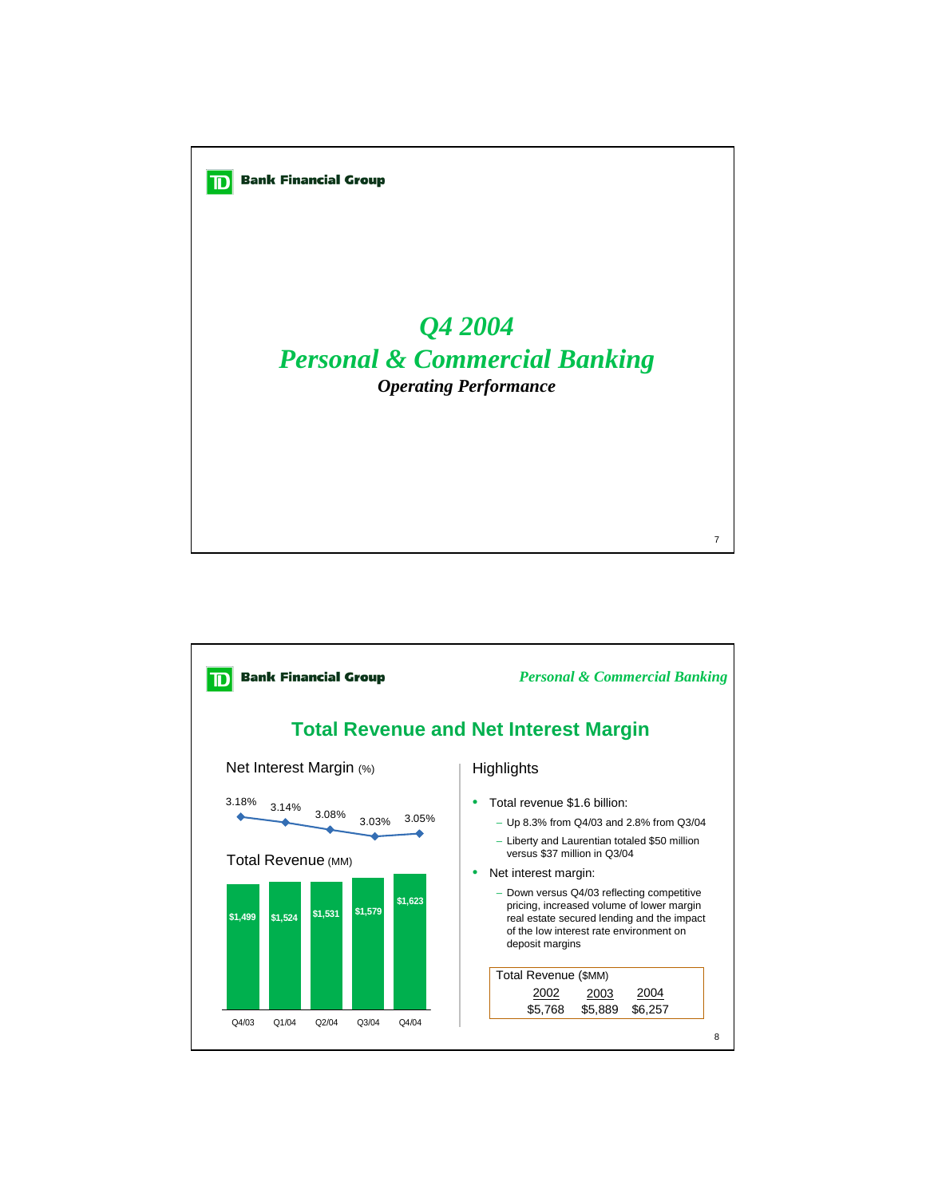

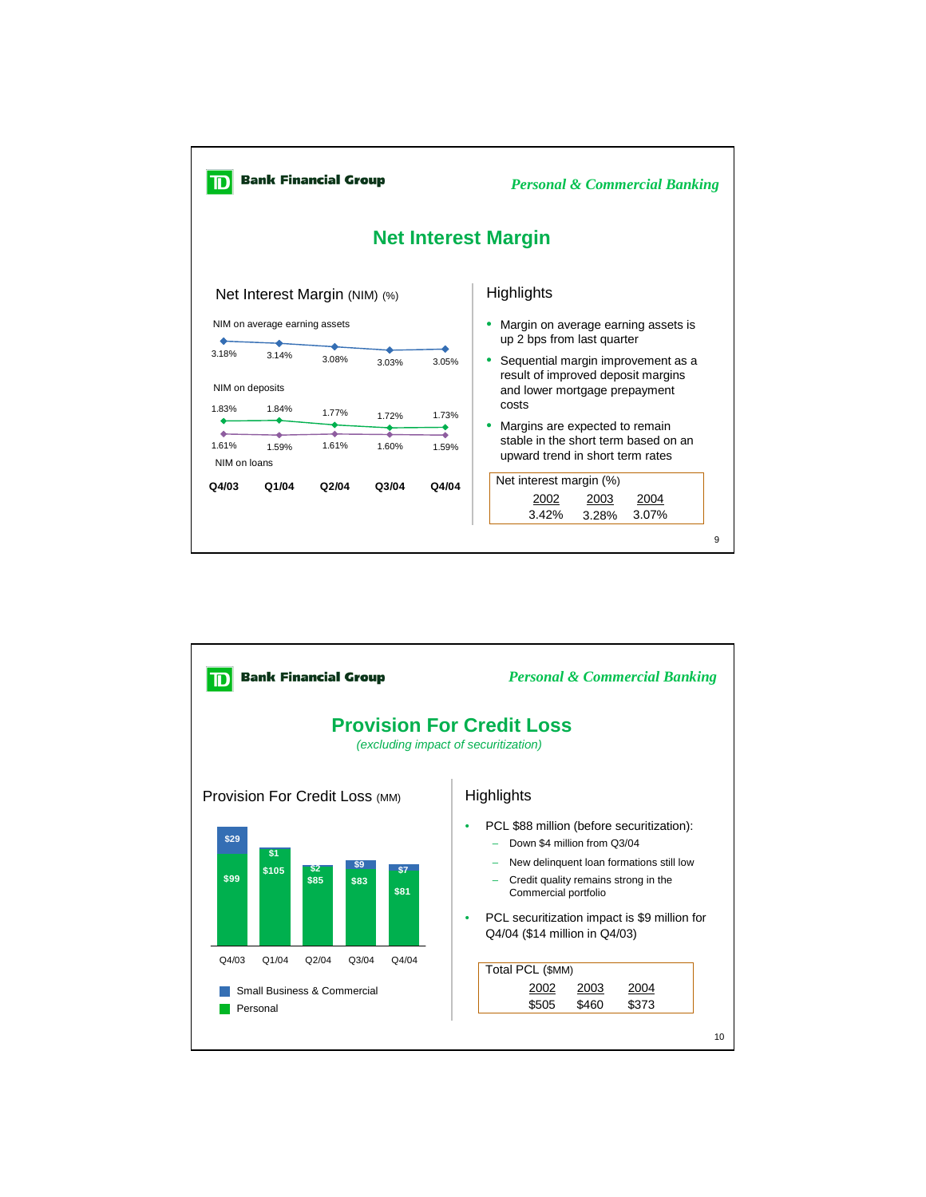

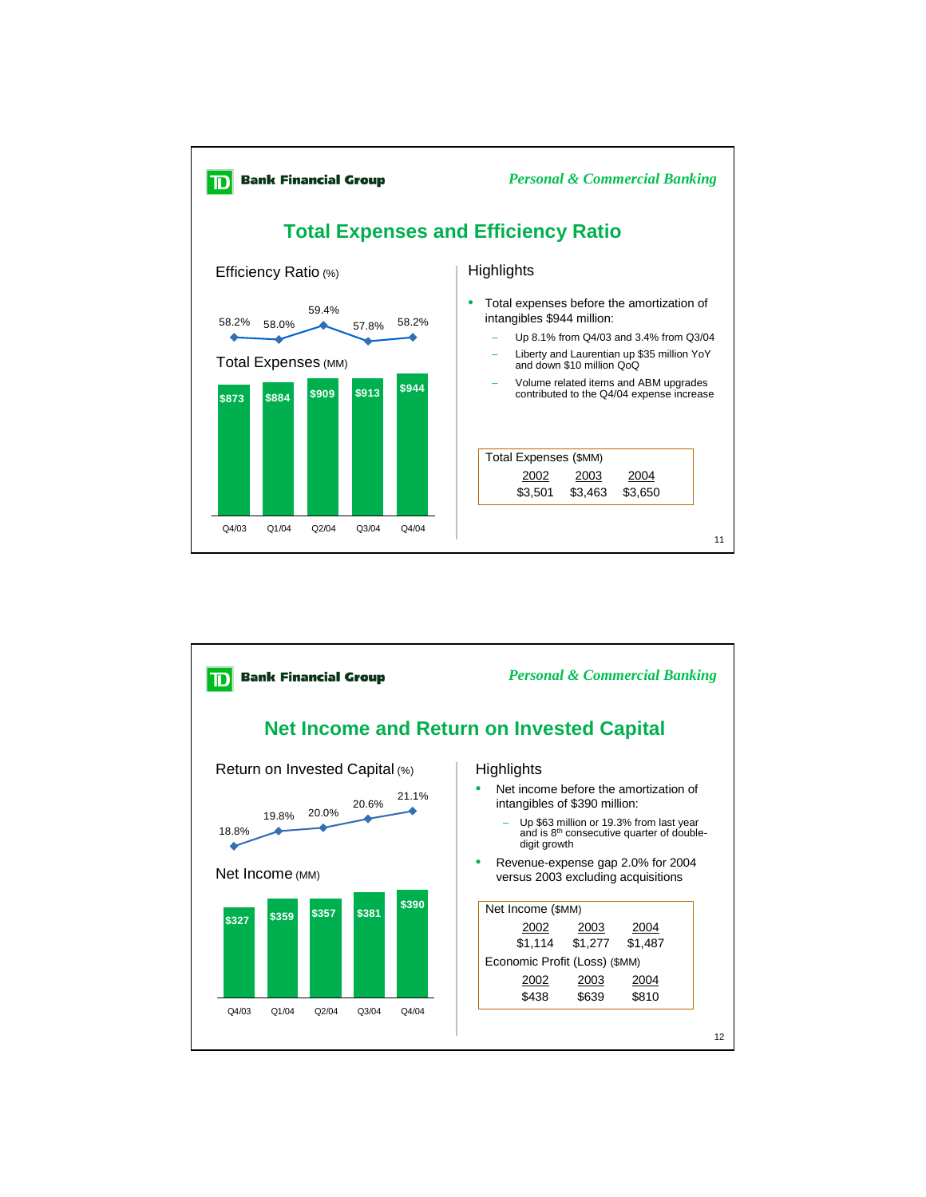

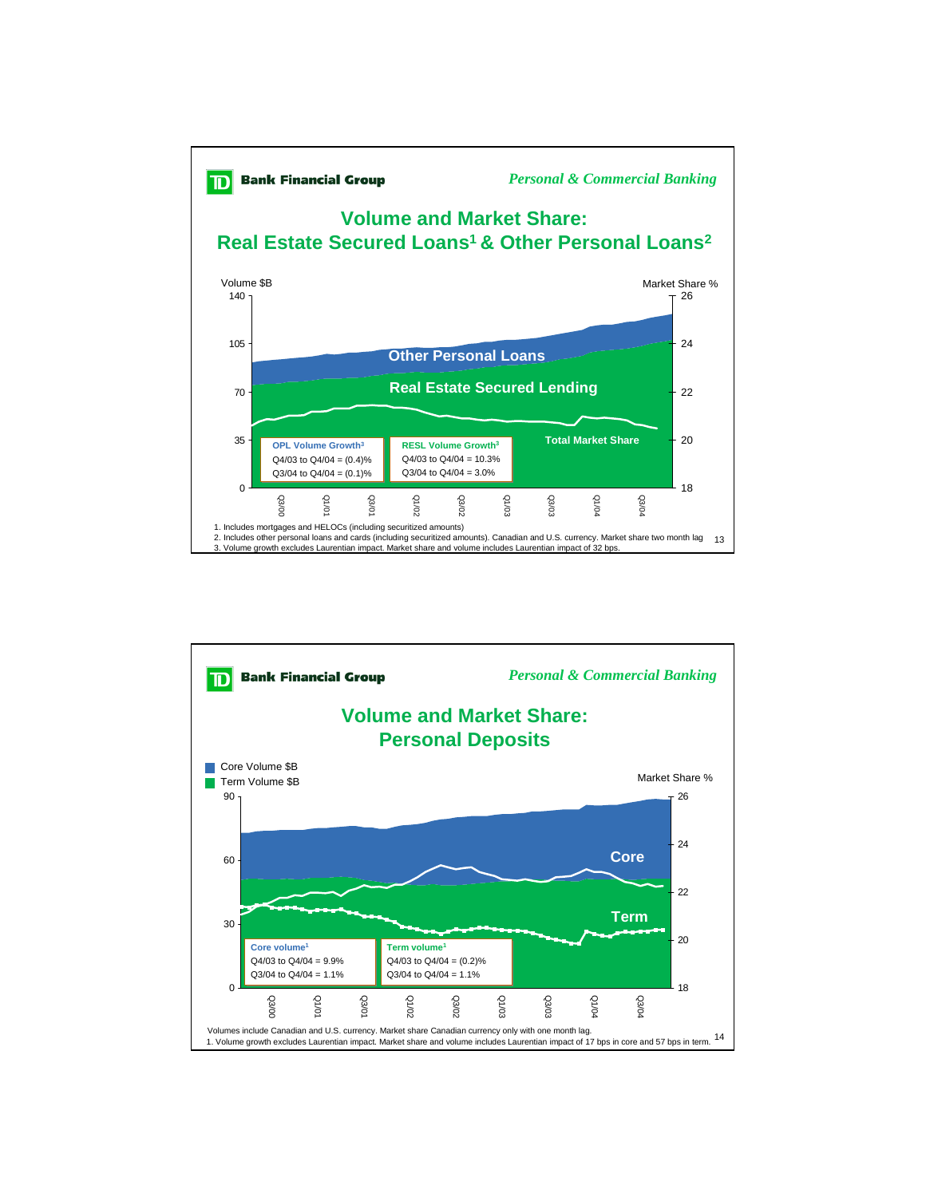

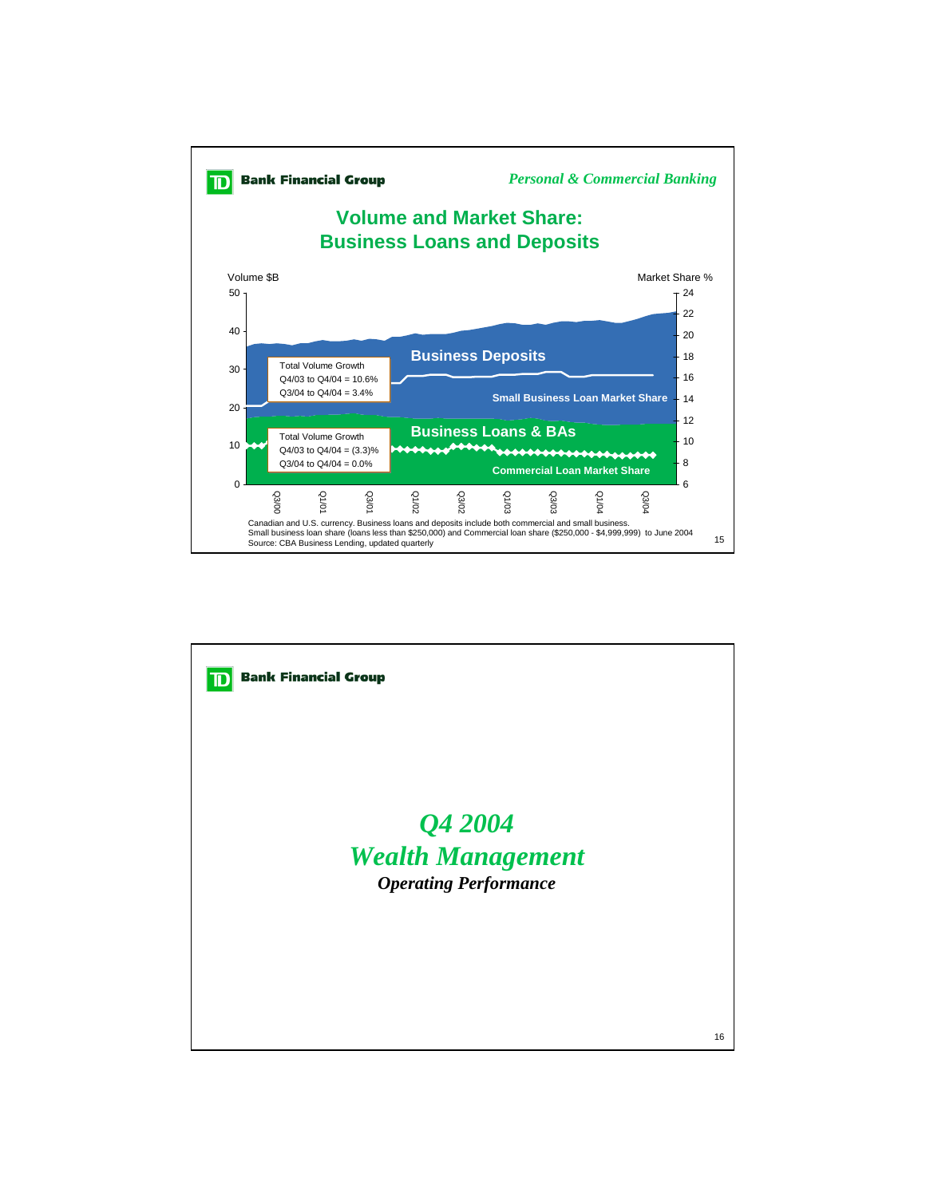

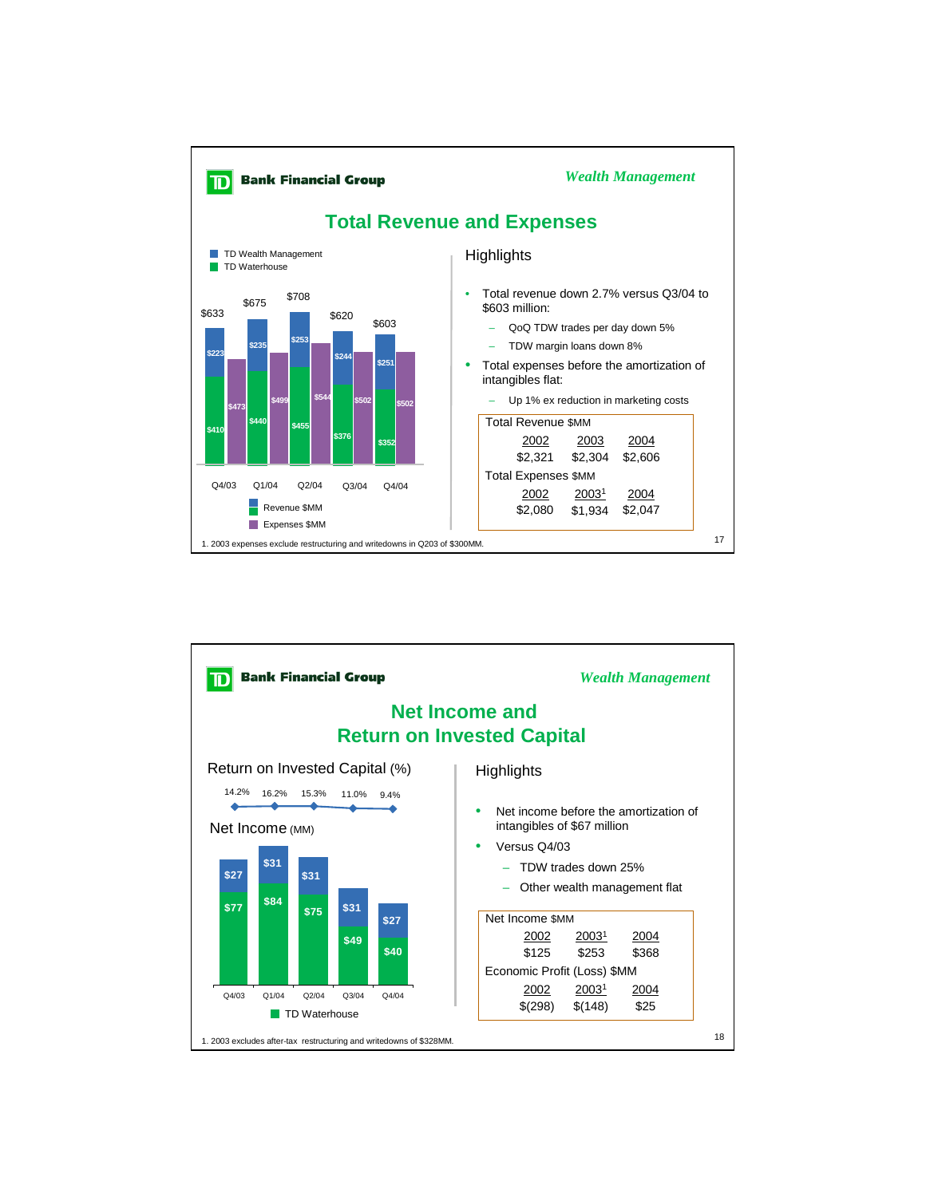

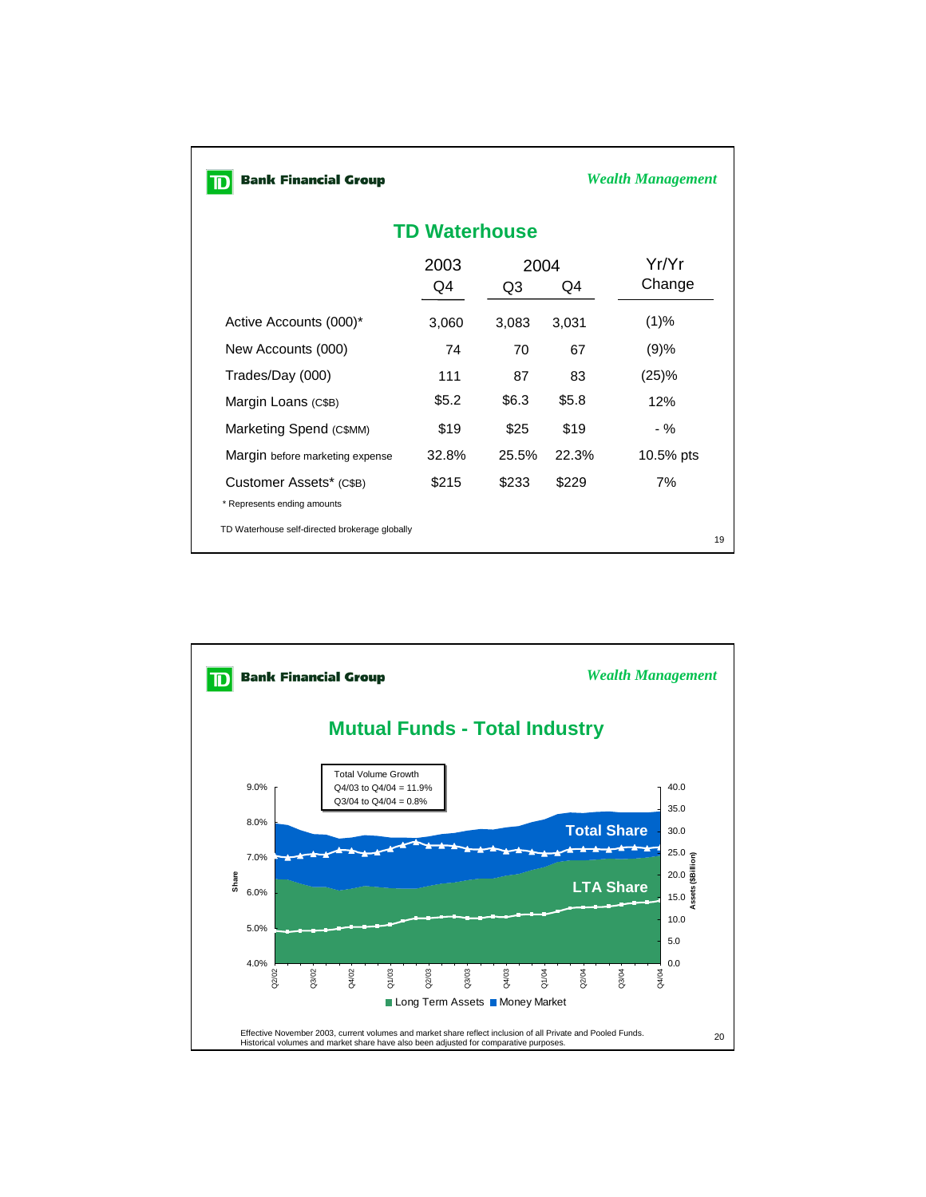| <b>Bank Financial Group</b>                            |            |            |       | Wealth Management |  |  |  |  |  |
|--------------------------------------------------------|------------|------------|-------|-------------------|--|--|--|--|--|
| <b>TD Waterhouse</b>                                   |            |            |       |                   |  |  |  |  |  |
|                                                        | 2003<br>Q4 | 2004<br>Q3 | Q4    | Yr/Yr<br>Change   |  |  |  |  |  |
| Active Accounts (000)*                                 | 3,060      | 3,083      | 3,031 | (1)%              |  |  |  |  |  |
| New Accounts (000)                                     | 74         | 70         | 67    | (9)%              |  |  |  |  |  |
| Trades/Day (000)                                       | 111        | 87         | 83    | (25)%             |  |  |  |  |  |
| Margin Loans (C\$B)                                    | \$5.2      | \$6.3      | \$5.8 | 12%               |  |  |  |  |  |
| Marketing Spend (C\$MM)                                | \$19       | \$25       | \$19  | - %               |  |  |  |  |  |
| Margin before marketing expense                        | 32.8%      | 25.5%      | 22.3% | 10.5% pts         |  |  |  |  |  |
| Customer Assets* (C\$B)<br>* Represents ending amounts | \$215      | \$233      | \$229 | 7%                |  |  |  |  |  |
| TD Waterhouse self-directed brokerage globally         |            |            |       | 19                |  |  |  |  |  |

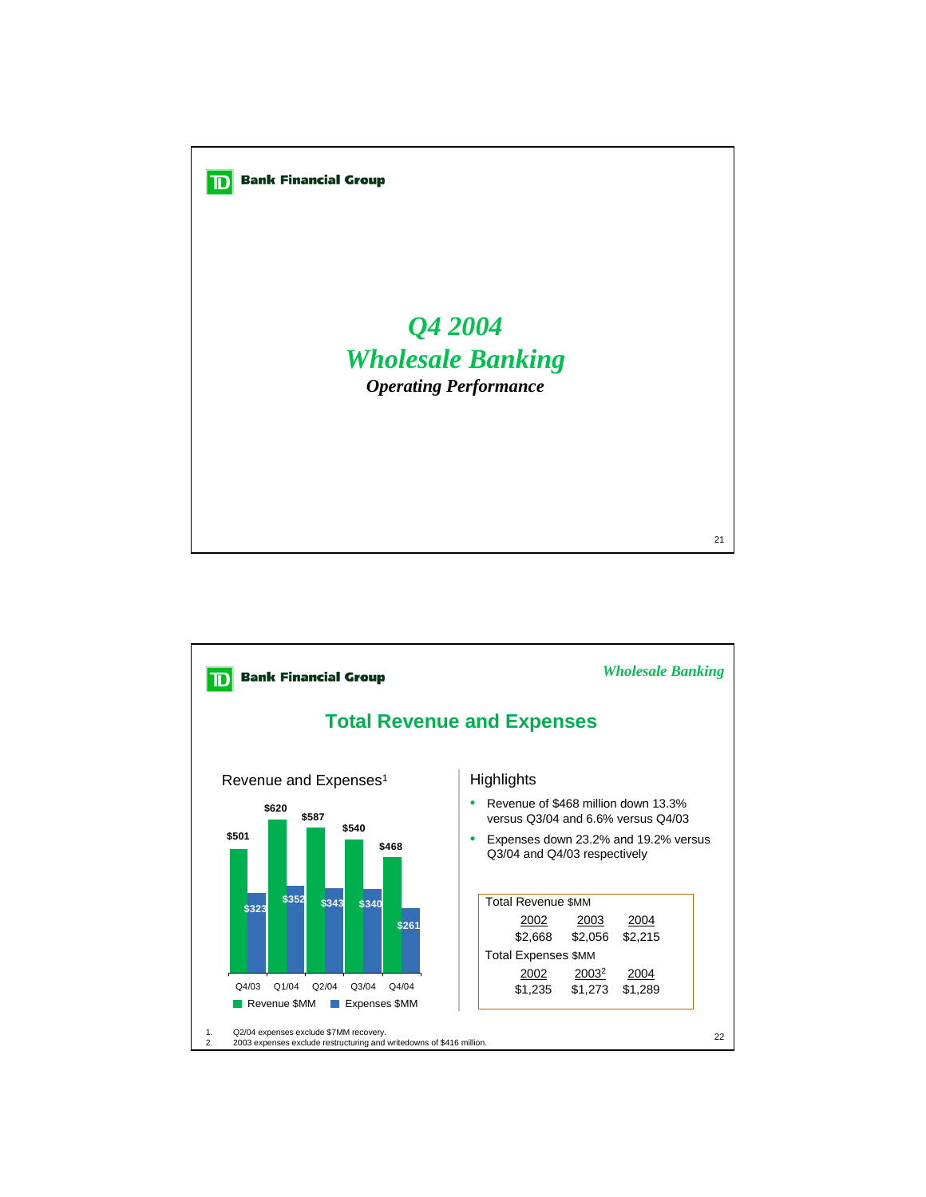

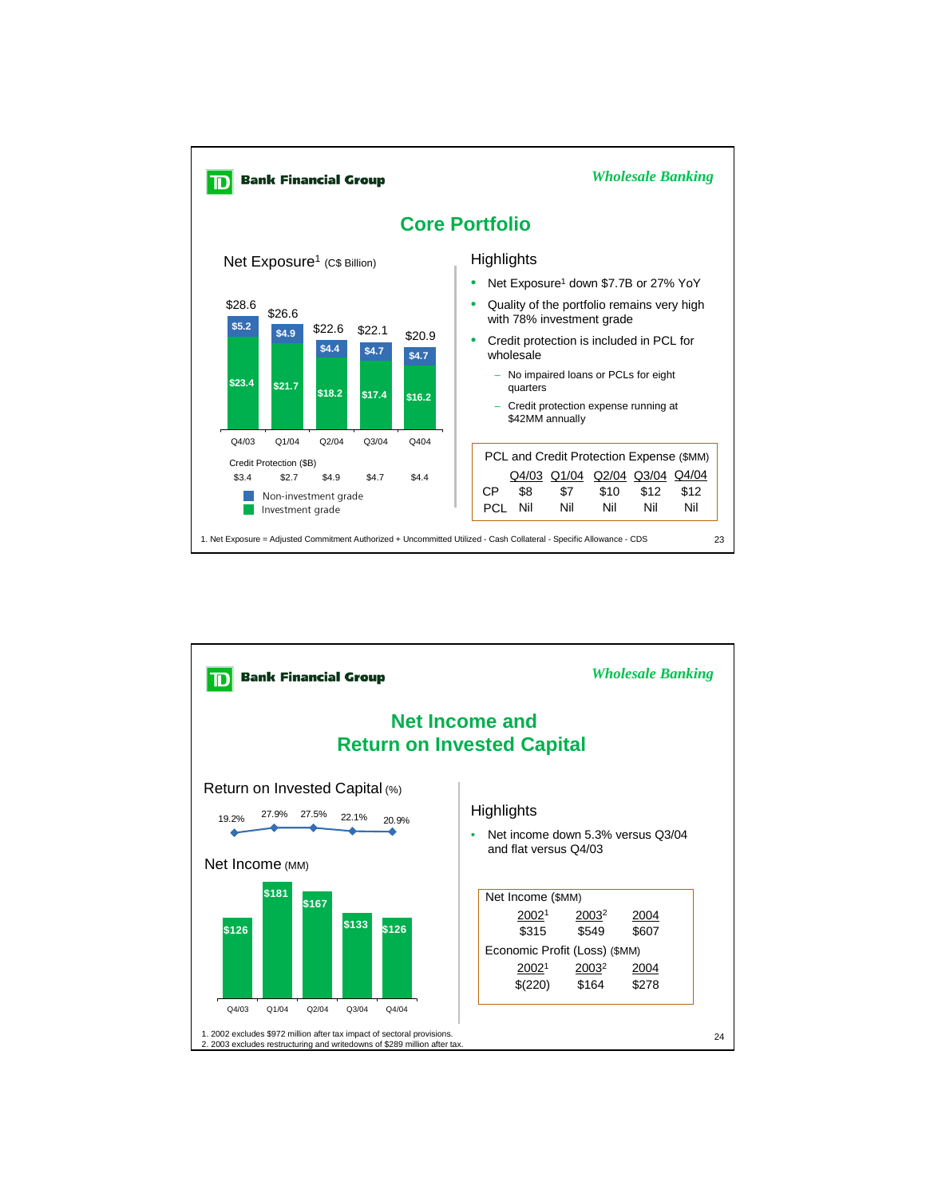

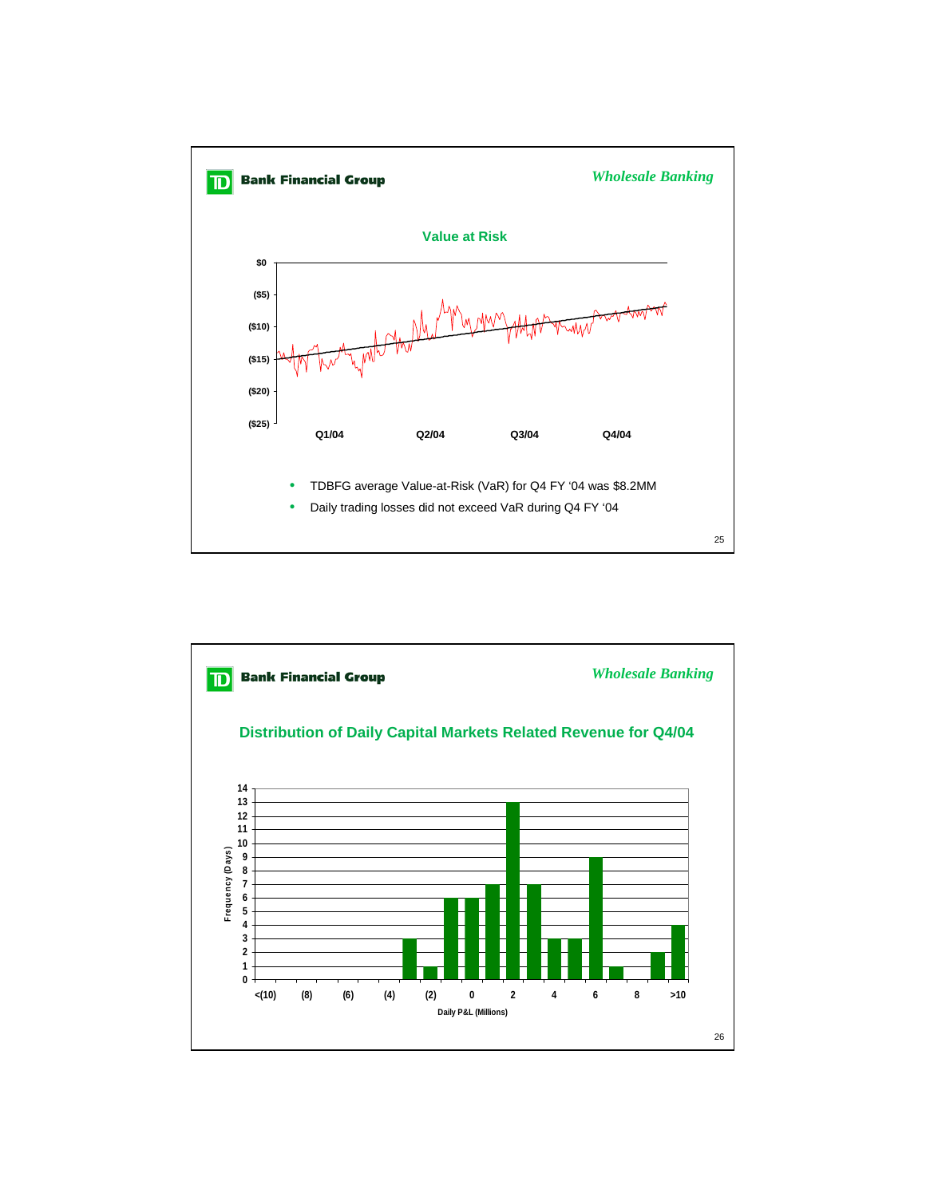

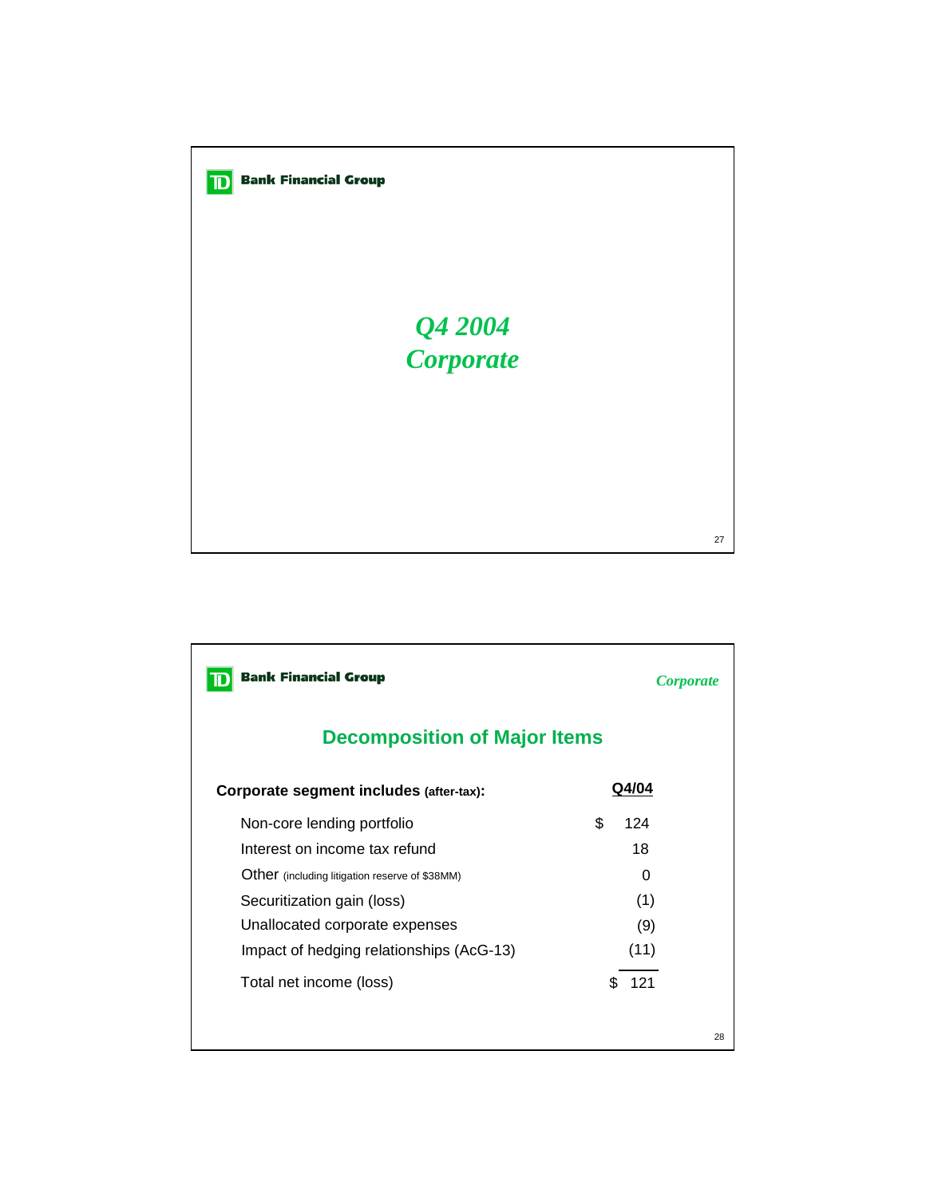

| <b>Bank Financial Group</b>                    | <i>Corporate</i> |  |  |  |  |  |  |  |
|------------------------------------------------|------------------|--|--|--|--|--|--|--|
| <b>Decomposition of Major Items</b>            |                  |  |  |  |  |  |  |  |
| Corporate segment includes (after-tax):        | Q4/04            |  |  |  |  |  |  |  |
| Non-core lending portfolio                     | \$.<br>124       |  |  |  |  |  |  |  |
| Interest on income tax refund                  | 18               |  |  |  |  |  |  |  |
| Other (including litigation reserve of \$38MM) | 0                |  |  |  |  |  |  |  |
| Securitization gain (loss)                     | (1)              |  |  |  |  |  |  |  |
| Unallocated corporate expenses                 | (9)              |  |  |  |  |  |  |  |
| Impact of hedging relationships (AcG-13)       | (11)             |  |  |  |  |  |  |  |
| Total net income (loss)                        | 121<br>\$.       |  |  |  |  |  |  |  |
|                                                | 28               |  |  |  |  |  |  |  |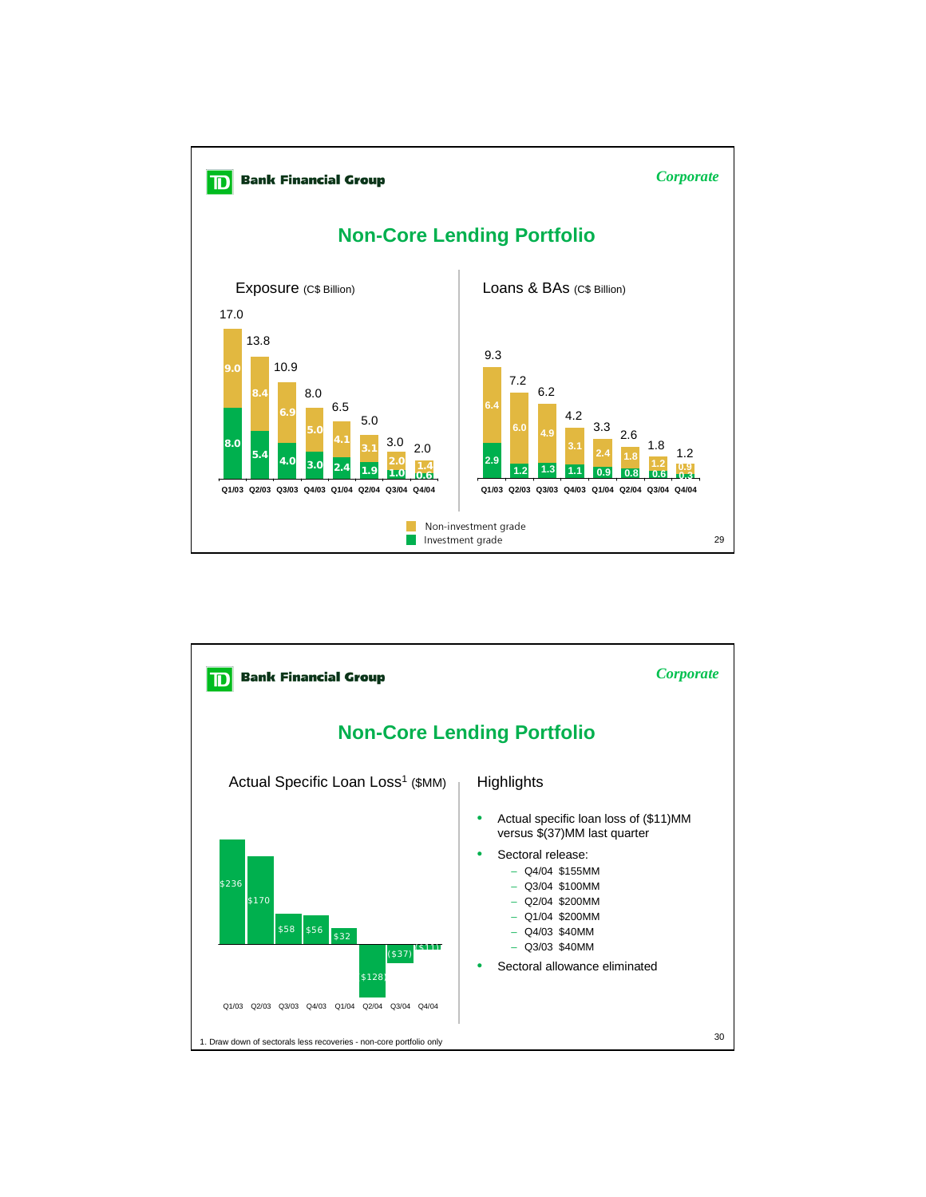